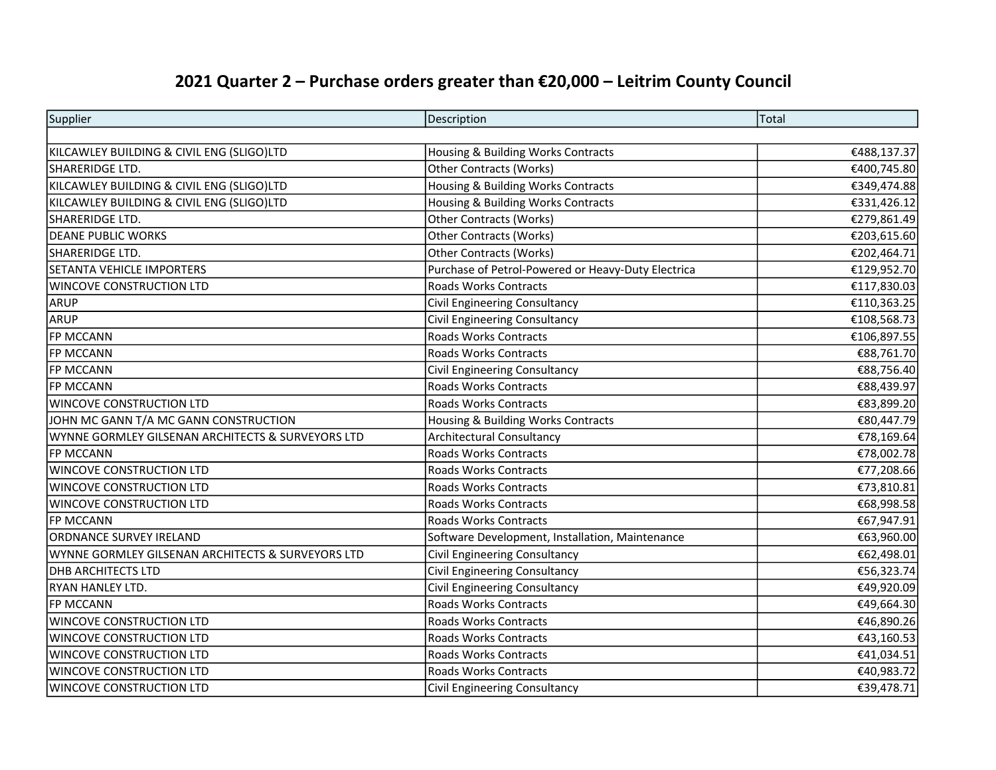## 2021 Quarter 2 – Purchase orders greater than €20,000 – Leitrim County Council

| Supplier                                          | Description                                        | Total       |
|---------------------------------------------------|----------------------------------------------------|-------------|
|                                                   |                                                    |             |
| KILCAWLEY BUILDING & CIVIL ENG (SLIGO)LTD         | Housing & Building Works Contracts                 | €488,137.37 |
| SHARERIDGE LTD.                                   | Other Contracts (Works)                            | €400,745.80 |
| KILCAWLEY BUILDING & CIVIL ENG (SLIGO)LTD         | Housing & Building Works Contracts                 | €349,474.88 |
| KILCAWLEY BUILDING & CIVIL ENG (SLIGO)LTD         | Housing & Building Works Contracts                 | €331,426.12 |
| SHARERIDGE LTD.                                   | <b>Other Contracts (Works)</b>                     | €279,861.49 |
| <b>DEANE PUBLIC WORKS</b>                         | Other Contracts (Works)                            | €203,615.60 |
| SHARERIDGE LTD.                                   | <b>Other Contracts (Works)</b>                     | €202,464.71 |
| <b>SETANTA VEHICLE IMPORTERS</b>                  | Purchase of Petrol-Powered or Heavy-Duty Electrica | €129,952.70 |
| <b>WINCOVE CONSTRUCTION LTD</b>                   | <b>Roads Works Contracts</b>                       | €117,830.03 |
| ARUP                                              | Civil Engineering Consultancy                      | €110,363.25 |
| ARUP                                              | <b>Civil Engineering Consultancy</b>               | €108,568.73 |
| <b>FP MCCANN</b>                                  | <b>Roads Works Contracts</b>                       | €106,897.55 |
| <b>FP MCCANN</b>                                  | <b>Roads Works Contracts</b>                       | €88,761.70  |
| <b>FP MCCANN</b>                                  | Civil Engineering Consultancy                      | €88,756.40  |
| <b>FP MCCANN</b>                                  | <b>Roads Works Contracts</b>                       | €88,439.97  |
| <b>WINCOVE CONSTRUCTION LTD</b>                   | <b>Roads Works Contracts</b>                       | €83,899.20  |
| JOHN MC GANN T/A MC GANN CONSTRUCTION             | Housing & Building Works Contracts                 | €80,447.79  |
| WYNNE GORMLEY GILSENAN ARCHITECTS & SURVEYORS LTD | <b>Architectural Consultancy</b>                   | €78,169.64  |
| <b>FP MCCANN</b>                                  | <b>Roads Works Contracts</b>                       | €78,002.78  |
| WINCOVE CONSTRUCTION LTD                          | <b>Roads Works Contracts</b>                       | €77,208.66  |
| WINCOVE CONSTRUCTION LTD                          | <b>Roads Works Contracts</b>                       | €73,810.81  |
| WINCOVE CONSTRUCTION LTD                          | <b>Roads Works Contracts</b>                       | €68,998.58  |
| <b>FP MCCANN</b>                                  | <b>Roads Works Contracts</b>                       | €67,947.91  |
| ORDNANCE SURVEY IRELAND                           | Software Development, Installation, Maintenance    | €63,960.00  |
| WYNNE GORMLEY GILSENAN ARCHITECTS & SURVEYORS LTD | <b>Civil Engineering Consultancy</b>               | €62,498.01  |
| <b>DHB ARCHITECTS LTD</b>                         | Civil Engineering Consultancy                      | €56,323.74  |
| RYAN HANLEY LTD.                                  | Civil Engineering Consultancy                      | €49,920.09  |
| <b>FP MCCANN</b>                                  | <b>Roads Works Contracts</b>                       | €49,664.30  |
| WINCOVE CONSTRUCTION LTD                          | <b>Roads Works Contracts</b>                       | €46,890.26  |
| WINCOVE CONSTRUCTION LTD                          | <b>Roads Works Contracts</b>                       | €43,160.53  |
| WINCOVE CONSTRUCTION LTD                          | <b>Roads Works Contracts</b>                       | €41,034.51  |
| WINCOVE CONSTRUCTION LTD                          | <b>Roads Works Contracts</b>                       | €40,983.72  |
| <b>WINCOVE CONSTRUCTION LTD</b>                   | Civil Engineering Consultancy                      | €39,478.71  |